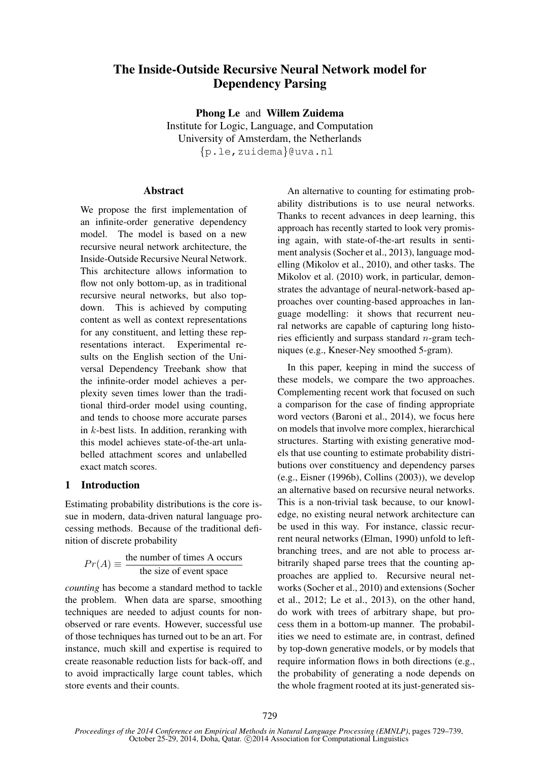# The Inside-Outside Recursive Neural Network model for Dependency Parsing

Phong Le and Willem Zuidema Institute for Logic, Language, and Computation University of Amsterdam, the Netherlands {p.le,zuidema}@uva.nl

### **Abstract**

We propose the first implementation of an infinite-order generative dependency model. The model is based on a new recursive neural network architecture, the Inside-Outside Recursive Neural Network. This architecture allows information to flow not only bottom-up, as in traditional recursive neural networks, but also topdown. This is achieved by computing content as well as context representations for any constituent, and letting these representations interact. Experimental results on the English section of the Universal Dependency Treebank show that the infinite-order model achieves a perplexity seven times lower than the traditional third-order model using counting, and tends to choose more accurate parses in k-best lists. In addition, reranking with this model achieves state-of-the-art unlabelled attachment scores and unlabelled exact match scores.

# 1 Introduction

Estimating probability distributions is the core issue in modern, data-driven natural language processing methods. Because of the traditional definition of discrete probability

$$
Pr(A) \equiv \frac{\text{the number of times A occurs}}{\text{the size of event space}}
$$

*counting* has become a standard method to tackle the problem. When data are sparse, smoothing techniques are needed to adjust counts for nonobserved or rare events. However, successful use of those techniques has turned out to be an art. For instance, much skill and expertise is required to create reasonable reduction lists for back-off, and to avoid impractically large count tables, which store events and their counts.

An alternative to counting for estimating probability distributions is to use neural networks. Thanks to recent advances in deep learning, this approach has recently started to look very promising again, with state-of-the-art results in sentiment analysis (Socher et al., 2013), language modelling (Mikolov et al., 2010), and other tasks. The Mikolov et al. (2010) work, in particular, demonstrates the advantage of neural-network-based approaches over counting-based approaches in language modelling: it shows that recurrent neural networks are capable of capturing long histories efficiently and surpass standard  $n$ -gram techniques (e.g., Kneser-Ney smoothed 5-gram).

In this paper, keeping in mind the success of these models, we compare the two approaches. Complementing recent work that focused on such a comparison for the case of finding appropriate word vectors (Baroni et al., 2014), we focus here on models that involve more complex, hierarchical structures. Starting with existing generative models that use counting to estimate probability distributions over constituency and dependency parses (e.g., Eisner (1996b), Collins (2003)), we develop an alternative based on recursive neural networks. This is a non-trivial task because, to our knowledge, no existing neural network architecture can be used in this way. For instance, classic recurrent neural networks (Elman, 1990) unfold to leftbranching trees, and are not able to process arbitrarily shaped parse trees that the counting approaches are applied to. Recursive neural networks (Socher et al., 2010) and extensions (Socher et al., 2012; Le et al., 2013), on the other hand, do work with trees of arbitrary shape, but process them in a bottom-up manner. The probabilities we need to estimate are, in contrast, defined by top-down generative models, or by models that require information flows in both directions (e.g., the probability of generating a node depends on the whole fragment rooted at its just-generated sis-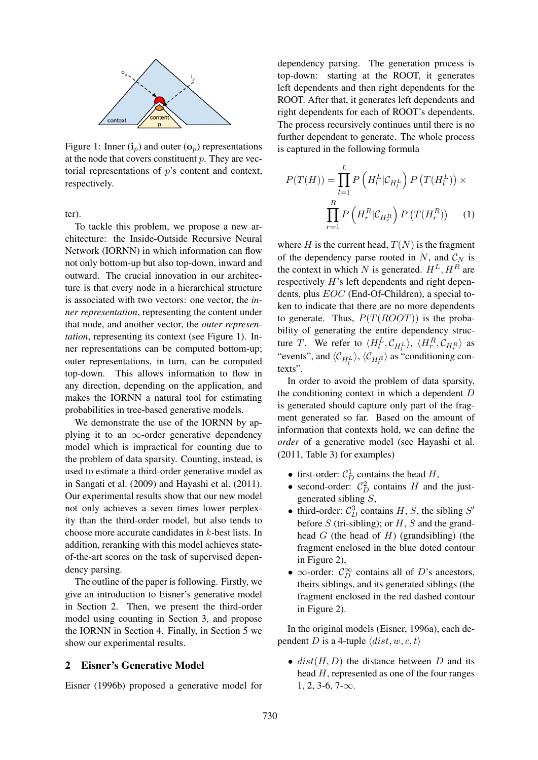

Figure 1: Inner  $(i_p)$  and outer  $(o_p)$  representations at the node that covers constituent  $p$ . They are vectorial representations of  $p$ 's content and context, respectively.

ter).

To tackle this problem, we propose a new architecture: the Inside-Outside Recursive Neural Network (IORNN) in which information can flow not only bottom-up but also top-down, inward and outward. The crucial innovation in our architecture is that every node in a hierarchical structure is associated with two vectors: one vector, the *inner representation*, representing the content under that node, and another vector, the *outer representation*, representing its context (see Figure 1). Inner representations can be computed bottom-up; outer representations, in turn, can be computed top-down. This allows information to flow in any direction, depending on the application, and makes the IORNN a natural tool for estimating probabilities in tree-based generative models.

We demonstrate the use of the IORNN by applying it to an  $\infty$ -order generative dependency model which is impractical for counting due to the problem of data sparsity. Counting, instead, is used to estimate a third-order generative model as in Sangati et al. (2009) and Hayashi et al. (2011). Our experimental results show that our new model not only achieves a seven times lower perplexity than the third-order model, but also tends to choose more accurate candidates in k-best lists. In addition, reranking with this model achieves stateof-the-art scores on the task of supervised dependency parsing.

The outline of the paper is following. Firstly, we give an introduction to Eisner's generative model in Section 2. Then, we present the third-order model using counting in Section 3, and propose the IORNN in Section 4. Finally, in Section 5 we show our experimental results.

#### 2 Eisner's Generative Model

Eisner (1996b) proposed a generative model for

dependency parsing. The generation process is top-down: starting at the ROOT, it generates left dependents and then right dependents for the ROOT. After that, it generates left dependents and right dependents for each of ROOT's dependents. The process recursively continues until there is no further dependent to generate. The whole process is captured in the following formula

$$
P(T(H)) = \prod_{l=1}^{L} P\left(H_l^L | \mathcal{C}_{H_l^L}\right) P\left(T(H_l^L)\right) \times \prod_{r=1}^{R} P\left(H_r^R | \mathcal{C}_{H_r^R}\right) P\left(T(H_r^R)\right) \quad (1)
$$

where H is the current head,  $T(N)$  is the fragment of the dependency parse rooted in N, and  $\mathcal{C}_N$  is the context in which N is generated.  $H^L, H^R$  are respectively H's left dependents and right dependents, plus EOC (End-Of-Children), a special token to indicate that there are no more dependents to generate. Thus,  $P(T(ROOT))$  is the probability of generating the entire dependency structure T. We refer to  $\langle H_l^L, C_{H_l^L} \rangle$ ,  $\langle H_r^R, C_{H_r^R} \rangle$  as "events", and  $\langle C_{H^L_r} \rangle$ ,  $\langle C_{H^R_r} \rangle$  as "conditioning contexts".

In order to avoid the problem of data sparsity, the conditioning context in which a dependent D is generated should capture only part of the fragment generated so far. Based on the amount of information that contexts hold, we can define the *order* of a generative model (see Hayashi et al. (2011, Table 3) for examples)

- first-order:  $C_D^1$  contains the head H,
- second-order:  $C_D^2$  contains H and the justgenerated sibling S,
- third-order:  $C_D^3$  contains H, S, the sibling S' before  $S$  (tri-sibling); or  $H$ ,  $S$  and the grandhead  $G$  (the head of  $H$ ) (grandsibling) (the fragment enclosed in the blue doted contour in Figure 2),
- $\infty$ -order:  $C_D^{\infty}$  contains all of D's ancestors, theirs siblings, and its generated siblings (the fragment enclosed in the red dashed contour in Figure 2).

In the original models (Eisner, 1996a), each dependent D is a 4-tuple  $\langle dist, w, c, t \rangle$ 

•  $dist(H, D)$  the distance between D and its head  $H$ , represented as one of the four ranges  $1, 2, 3-6, 7-\infty.$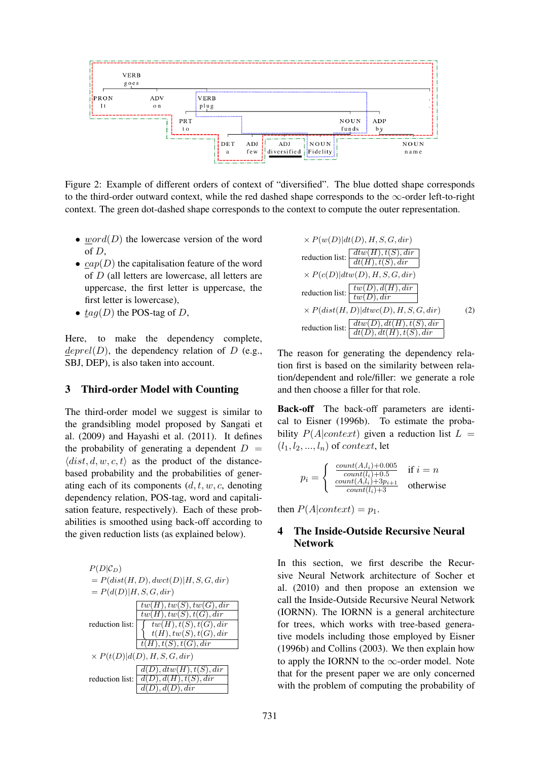

Figure 2: Example of different orders of context of "diversified". The blue dotted shape corresponds to the third-order outward context, while the red dashed shape corresponds to the  $\infty$ -order left-to-right context. The green dot-dashed shape corresponds to the context to compute the outer representation.

- word $(D)$  the lowercase version of the word of D,
- $cap(D)$  the capitalisation feature of the word of D (all letters are lowercase, all letters are uppercase, the first letter is uppercase, the first letter is lowercase),
- $tag(D)$  the POS-tag of D,

Here, to make the dependency complete,  $dependency$  relation of D (e.g., SBJ, DEP), is also taken into account.

#### 3 Third-order Model with Counting

The third-order model we suggest is similar to the grandsibling model proposed by Sangati et al. (2009) and Hayashi et al. (2011). It defines the probability of generating a dependent  $D =$  $\langle dist, d, w, c, t \rangle$  as the product of the distancebased probability and the probabilities of generating each of its components  $(d, t, w, c,$  denoting dependency relation, POS-tag, word and capitalisation feature, respectively). Each of these probabilities is smoothed using back-off according to the given reduction lists (as explained below).

| $P(D \mathcal{C}_D)$     |                                                      |
|--------------------------|------------------------------------------------------|
|                          | $= P(dist(H, D), dwct(D) H, S, G, dir)$              |
| $= P(d(D) H, S, G, dir)$ |                                                      |
|                          | tw(H), tw(S), tw(G), dir                             |
|                          | $\overline{tw(H), tw(S), t(G), dir}$                 |
| reduction list:          | $tw(H), t(S), t(G), dir$<br>$t(H), tw(S), t(G), dir$ |
|                          |                                                      |
|                          | $\overline{t(H), t(S), t(G), dir}$                   |
|                          | $\times P(t(D) d(D), H, S, G, dir)$                  |
|                          | d(D), dt w(H), t(S), dir                             |
| reduction list:          | d(D), d(H), t(S), dir                                |
|                          | $.$ $dir$<br>. d(D)                                  |

$$
\times P(w(D)|dt(D), H, S, G, dir)
$$
  
reduction list: 
$$
\frac{dt w(H), t(S), dir}{dt(H), t(S), dir}
$$

$$
\times P(c(D)|dt w(D), H, S, G, dir)
$$
  
reduction list: 
$$
\frac{tw(D), d(H), dir}{tw(D), dir}
$$

$$
\times P(dist(H, D)|dt w(CD), H, S, G, dir)
$$
(2)  
reduction list: 
$$
\frac{dt w(D), dt(H), t(S), dir}{dt(D), dt(H), t(S), dir}
$$

The reason for generating the dependency relation first is based on the similarity between relation/dependent and role/filler: we generate a role and then choose a filler for that role.

Back-off The back-off parameters are identical to Eisner (1996b). To estimate the probability  $P(A|context)$  given a reduction list  $L =$  $(l_1, l_2, ..., l_n)$  of *context*, let

$$
p_i = \begin{cases} \frac{count(A, l_i) + 0.005}{count(l_i) + 0.5} & \text{if } i = n\\ \frac{count(A, l_i) + 3p_{i+1}}{count(l_i) + 3} & \text{otherwise} \end{cases}
$$

then  $P(A|context) = p_1$ .

# 4 The Inside-Outside Recursive Neural Network

In this section, we first describe the Recursive Neural Network architecture of Socher et al. (2010) and then propose an extension we call the Inside-Outside Recursive Neural Network (IORNN). The IORNN is a general architecture for trees, which works with tree-based generative models including those employed by Eisner (1996b) and Collins (2003). We then explain how to apply the IORNN to the  $\infty$ -order model. Note that for the present paper we are only concerned with the problem of computing the probability of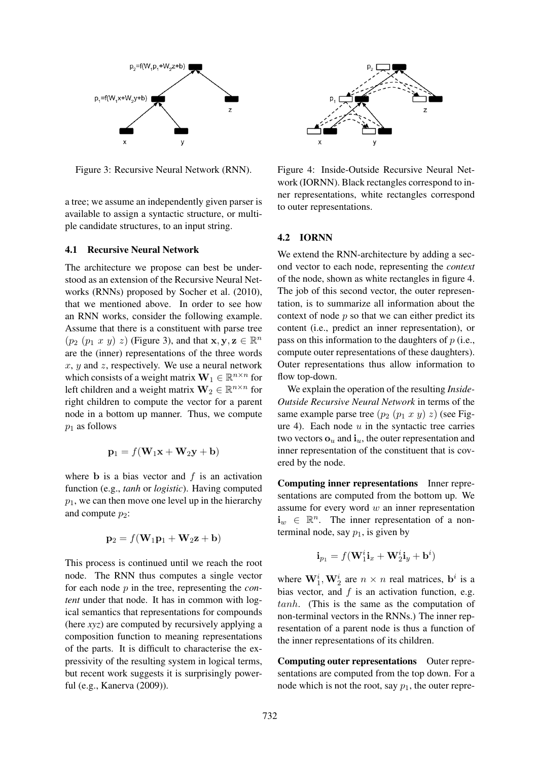

Figure 3: Recursive Neural Network (RNN).

a tree; we assume an independently given parser is available to assign a syntactic structure, or multiple candidate structures, to an input string.

#### 4.1 Recursive Neural Network

The architecture we propose can best be understood as an extension of the Recursive Neural Networks (RNNs) proposed by Socher et al. (2010), that we mentioned above. In order to see how an RNN works, consider the following example. Assume that there is a constituent with parse tree  $(p_2 (p_1 x y) z)$  (Figure 3), and that  $\mathbf{x}, \mathbf{y}, \mathbf{z} \in \mathbb{R}^n$ are the (inner) representations of the three words  $x, y$  and  $z$ , respectively. We use a neural network which consists of a weight matrix  $\mathbf{W}_1 \in \mathbb{R}^{n \times n}$  for left children and a weight matrix  $\mathbf{W}_2 \in \mathbb{R}^{n \times n}$  for right children to compute the vector for a parent node in a bottom up manner. Thus, we compute  $p_1$  as follows

$$
\mathbf{p}_1 = f(\mathbf{W}_1\mathbf{x} + \mathbf{W}_2\mathbf{y} + \mathbf{b})
$$

where **b** is a bias vector and  $f$  is an activation function (e.g., *tanh* or *logistic*). Having computed  $p_1$ , we can then move one level up in the hierarchy and compute  $p_2$ :

$$
\mathbf{p}_2 = f(\mathbf{W}_1 \mathbf{p}_1 + \mathbf{W}_2 \mathbf{z} + \mathbf{b})
$$

This process is continued until we reach the root node. The RNN thus computes a single vector for each node p in the tree, representing the *content* under that node. It has in common with logical semantics that representations for compounds (here *xyz*) are computed by recursively applying a composition function to meaning representations of the parts. It is difficult to characterise the expressivity of the resulting system in logical terms, but recent work suggests it is surprisingly powerful (e.g., Kanerva (2009)).



Figure 4: Inside-Outside Recursive Neural Network (IORNN). Black rectangles correspond to inner representations, white rectangles correspond to outer representations.

#### 4.2 IORNN

We extend the RNN-architecture by adding a second vector to each node, representing the *context* of the node, shown as white rectangles in figure 4. The job of this second vector, the outer representation, is to summarize all information about the context of node  $p$  so that we can either predict its content (i.e., predict an inner representation), or pass on this information to the daughters of  $p$  (i.e., compute outer representations of these daughters). Outer representations thus allow information to flow top-down.

We explain the operation of the resulting *Inside-Outside Recursive Neural Network* in terms of the same example parse tree  $(p_2 (p_1 x y) z)$  (see Figure 4). Each node  $u$  in the syntactic tree carries two vectors  $\mathbf{o}_u$  and  $\mathbf{i}_u$ , the outer representation and inner representation of the constituent that is covered by the node.

Computing inner representations Inner representations are computed from the bottom up. We assume for every word  $w$  an inner representation  $\mathbf{i}_w \in \mathbb{R}^n$ . The inner representation of a nonterminal node, say  $p_1$ , is given by

$$
\mathbf{i}_{p_1} = f(\mathbf{W}_1^i \mathbf{i}_x + \mathbf{W}_2^i \mathbf{i}_y + \mathbf{b}^i)
$$

where  $\mathbf{W}_1^i, \mathbf{W}_2^i$  are  $n \times n$  real matrices,  $\mathbf{b}^i$  is a bias vector, and  $f$  is an activation function, e.g. tanh. (This is the same as the computation of non-terminal vectors in the RNNs.) The inner representation of a parent node is thus a function of the inner representations of its children.

Computing outer representations Outer representations are computed from the top down. For a node which is not the root, say  $p_1$ , the outer repre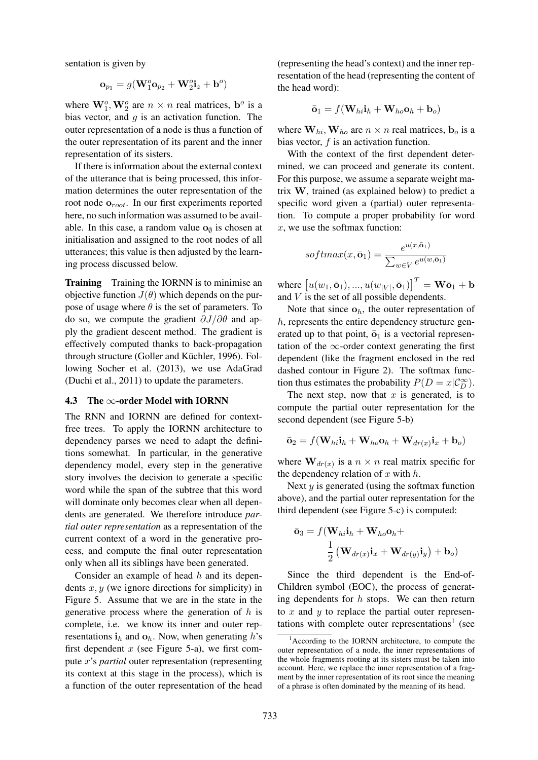sentation is given by

$$
\mathbf{o}_{p_1} = g(\mathbf{W}_1^o \mathbf{o}_{p_2} + \mathbf{W}_2^o \mathbf{i}_z + \mathbf{b}^o)
$$

where  $\mathbf{W}_1^o$ ,  $\mathbf{W}_2^o$  are  $n \times n$  real matrices,  $\mathbf{b}^o$  is a bias vector, and  $q$  is an activation function. The outer representation of a node is thus a function of the outer representation of its parent and the inner representation of its sisters.

If there is information about the external context of the utterance that is being processed, this information determines the outer representation of the root node  $o_{root}$ . In our first experiments reported here, no such information was assumed to be available. In this case, a random value  $\mathbf{o}_{\emptyset}$  is chosen at initialisation and assigned to the root nodes of all utterances; this value is then adjusted by the learning process discussed below.

**Training** Training the IORNN is to minimise an objective function  $J(\theta)$  which depends on the purpose of usage where  $\theta$  is the set of parameters. To do so, we compute the gradient  $\partial J/\partial \theta$  and apply the gradient descent method. The gradient is effectively computed thanks to back-propagation through structure (Goller and Küchler, 1996). Following Socher et al. (2013), we use AdaGrad (Duchi et al., 2011) to update the parameters.

#### 4.3 The  $\infty$ -order Model with IORNN

The RNN and IORNN are defined for contextfree trees. To apply the IORNN architecture to dependency parses we need to adapt the definitions somewhat. In particular, in the generative dependency model, every step in the generative story involves the decision to generate a specific word while the span of the subtree that this word will dominate only becomes clear when all dependents are generated. We therefore introduce *partial outer representation* as a representation of the current context of a word in the generative process, and compute the final outer representation only when all its siblings have been generated.

Consider an example of head  $h$  and its dependents  $x, y$  (we ignore directions for simplicity) in Figure 5. Assume that we are in the state in the generative process where the generation of  $h$  is complete, i.e. we know its inner and outer representations  $i_h$  and  $o_h$ . Now, when generating h's first dependent  $x$  (see Figure 5-a), we first compute x's *partial* outer representation (representing its context at this stage in the process), which is a function of the outer representation of the head

(representing the head's context) and the inner representation of the head (representing the content of the head word):

$$
\bar{\mathbf{o}}_1 = f(\mathbf{W}_{hi} \mathbf{i}_h + \mathbf{W}_{ho} \mathbf{o}_h + \mathbf{b}_o)
$$

where  $W_{hi}$ ,  $W_{ho}$  are  $n \times n$  real matrices,  $b_o$  is a bias vector,  $f$  is an activation function.

With the context of the first dependent determined, we can proceed and generate its content. For this purpose, we assume a separate weight matrix W, trained (as explained below) to predict a specific word given a (partial) outer representation. To compute a proper probability for word  $x$ , we use the softmax function:

$$
softmax(x, \bar{\mathbf{o}}_1) = \frac{e^{u(x, \bar{\mathbf{o}}_1)}}{\sum_{w \in V} e^{u(w, \bar{\mathbf{o}}_1)}}
$$

where  $[u(w_1, \bar{\mathbf{o}}_1), ..., u(w_{|V|}, \bar{\mathbf{o}}_1)]^T = \mathbf{W}\bar{\mathbf{o}}_1 + \mathbf{b}$ and V is the set of all possible dependents.

Note that since  $o_h$ , the outer representation of  $h$ , represents the entire dependency structure generated up to that point,  $\bar{o}_1$  is a vectorial representation of the  $\infty$ -order context generating the first dependent (like the fragment enclosed in the red dashed contour in Figure 2). The softmax function thus estimates the probability  $P(D = x | \mathcal{C}_D^{\infty})$ .

The next step, now that  $x$  is generated, is to compute the partial outer representation for the second dependent (see Figure 5-b)

$$
\bar{\mathbf{o}}_2 = f(\mathbf{W}_{hi}\mathbf{i}_h + \mathbf{W}_{ho}\mathbf{o}_h + \mathbf{W}_{dr(x)}\mathbf{i}_x + \mathbf{b}_o)
$$

where  $\mathbf{W}_{dr(x)}$  is a  $n \times n$  real matrix specific for the dependency relation of  $x$  with  $h$ .

Next  $y$  is generated (using the softmax function above), and the partial outer representation for the third dependent (see Figure 5-c) is computed:

$$
\bar{\mathbf{o}}_3 = f(\mathbf{W}_{hi}\mathbf{i}_h + \mathbf{W}_{ho}\mathbf{o}_h + \\ \frac{1}{2}(\mathbf{W}_{dr(x)}\mathbf{i}_x + \mathbf{W}_{dr(y)}\mathbf{i}_y) + \mathbf{b}_o)
$$

Since the third dependent is the End-of-Children symbol (EOC), the process of generating dependents for  $h$  stops. We can then return to  $x$  and  $y$  to replace the partial outer representations with complete outer representations<sup>1</sup> (see

 $1$ According to the IORNN architecture, to compute the outer representation of a node, the inner representations of the whole fragments rooting at its sisters must be taken into account. Here, we replace the inner representation of a fragment by the inner representation of its root since the meaning of a phrase is often dominated by the meaning of its head.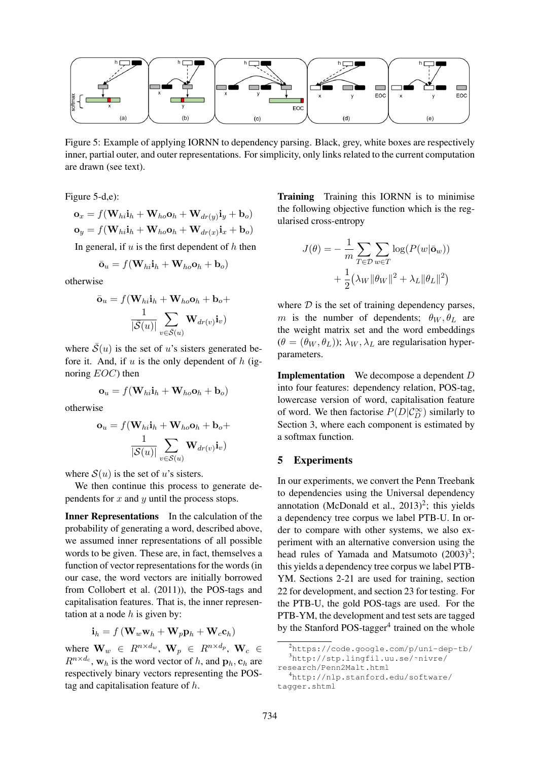

Figure 5: Example of applying IORNN to dependency parsing. Black, grey, white boxes are respectively inner, partial outer, and outer representations. For simplicity, only links related to the current computation are drawn (see text).

Figure 5-d,e):

$$
\mathbf{o}_x = f(\mathbf{W}_{hi}\mathbf{i}_h + \mathbf{W}_{ho}\mathbf{o}_h + \mathbf{W}_{dr(y)}\mathbf{i}_y + \mathbf{b}_o)
$$
  

$$
\mathbf{o}_y = f(\mathbf{W}_{hi}\mathbf{i}_h + \mathbf{W}_{ho}\mathbf{o}_h + \mathbf{W}_{dr(x)}\mathbf{i}_x + \mathbf{b}_o)
$$

In general, if  $u$  is the first dependent of  $h$  then

$$
\bar{\mathbf{o}}_u = f(\mathbf{W}_{hi} \mathbf{i}_h + \mathbf{W}_{ho} \mathbf{o}_h + \mathbf{b}_o)
$$

otherwise

$$
\bar{\mathbf{o}}_u = f(\mathbf{W}_{hi}\mathbf{i}_h + \mathbf{W}_{ho}\mathbf{o}_h + \mathbf{b}_o + \frac{1}{|\bar{\mathcal{S}}(u)|} \sum_{v \in \bar{\mathcal{S}}(u)} \mathbf{W}_{dr(v)}\mathbf{i}_v)
$$

where  $\bar{S}(u)$  is the set of u's sisters generated before it. And, if u is the only dependent of h (ignoring EOC) then

$$
\mathbf{o}_u = f(\mathbf{W}_{hi} \mathbf{i}_h + \mathbf{W}_{ho} \mathbf{o}_h + \mathbf{b}_o)
$$

otherwise

$$
\mathbf{o}_u = f(\mathbf{W}_{hi}\mathbf{i}_h + \mathbf{W}_{ho}\mathbf{o}_h + \mathbf{b}_o + \frac{1}{|\mathcal{S}(u)|}\sum_{v \in \mathcal{S}(u)} \mathbf{W}_{dr(v)}\mathbf{i}_v)
$$

where  $S(u)$  is the set of u's sisters.

We then continue this process to generate dependents for  $x$  and  $y$  until the process stops.

Inner Representations In the calculation of the probability of generating a word, described above, we assumed inner representations of all possible words to be given. These are, in fact, themselves a function of vector representations for the words (in our case, the word vectors are initially borrowed from Collobert et al. (2011)), the POS-tags and capitalisation features. That is, the inner representation at a node  $h$  is given by:

$$
\mathbf{i}_h = f\left(\mathbf{W}_w \mathbf{w}_h + \mathbf{W}_p \mathbf{p}_h + \mathbf{W}_c \mathbf{c}_h\right)
$$

where  $\mathbf{W}_w \in R^{n \times d_w}, \mathbf{W}_p \in R^{n \times d_p}, \mathbf{W}_c \in$  $R^{n \times d_c}$ ,  $\mathbf{w}_h$  is the word vector of h, and  $\mathbf{p}_h$ ,  $\mathbf{c}_h$  are respectively binary vectors representing the POStag and capitalisation feature of  $h$ .

Training Training this IORNN is to minimise the following objective function which is the regularised cross-entropy

$$
J(\theta) = -\frac{1}{m} \sum_{T \in \mathcal{D}} \sum_{w \in T} \log(P(w|\bar{\mathbf{o}}_w)) + \frac{1}{2} (\lambda_W ||\theta_W||^2 + \lambda_L ||\theta_L||^2)
$$

where  $D$  is the set of training dependency parses, m is the number of dependents;  $\theta_W$ ,  $\theta_L$  are the weight matrix set and the word embeddings  $(\theta = (\theta_W, \theta_L))$ ;  $\lambda_W$ ,  $\lambda_L$  are regularisation hyperparameters.

Implementation We decompose a dependent D into four features: dependency relation, POS-tag, lowercase version of word, capitalisation feature of word. We then factorise  $P(D|C_D^{\infty})$  similarly to Section 3, where each component is estimated by a softmax function.

### 5 Experiments

In our experiments, we convert the Penn Treebank to dependencies using the Universal dependency annotation (McDonald et al.,  $2013)^2$ ; this yields a dependency tree corpus we label PTB-U. In order to compare with other systems, we also experiment with an alternative conversion using the head rules of Yamada and Matsumoto  $(2003)^3$ ; this yields a dependency tree corpus we label PTB-YM. Sections 2-21 are used for training, section 22 for development, and section 23 for testing. For the PTB-U, the gold POS-tags are used. For the PTB-YM, the development and test sets are tagged by the Stanford POS-tagger<sup>4</sup> trained on the whole

<sup>2</sup>https://code.google.com/p/uni-dep-tb/ <sup>3</sup>http://stp.lingfil.uu.se/˜nivre/

research/Penn2Malt.html

<sup>4</sup>http://nlp.stanford.edu/software/ tagger.shtml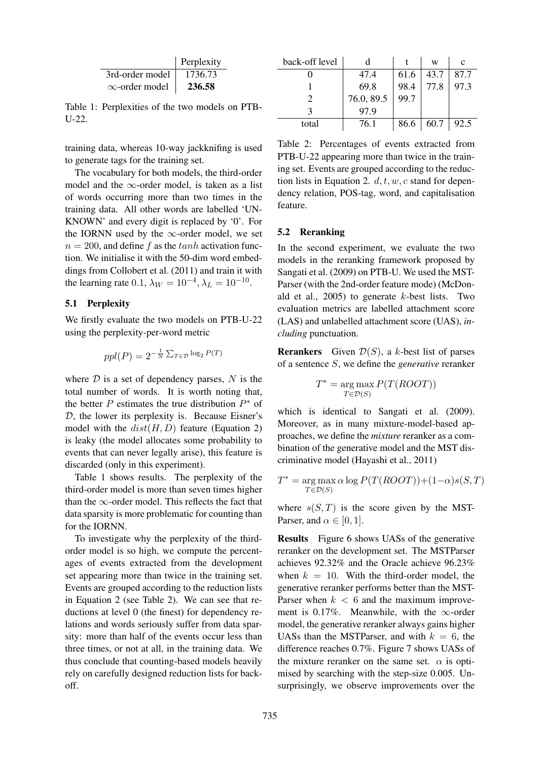|                       | Perplexity |
|-----------------------|------------|
| 3rd-order model       | 1736.73    |
| $\infty$ -order model | 236.58     |

Table 1: Perplexities of the two models on PTB-U-22.

training data, whereas 10-way jackknifing is used to generate tags for the training set.

The vocabulary for both models, the third-order model and the  $\infty$ -order model, is taken as a list of words occurring more than two times in the training data. All other words are labelled 'UN-KNOWN' and every digit is replaced by '0'. For the IORNN used by the  $\infty$ -order model, we set  $n = 200$ , and define f as the  $tanh$  activation function. We initialise it with the 50-dim word embeddings from Collobert et al. (2011) and train it with the learning rate 0.1,  $\lambda_W = 10^{-4}, \lambda_L = 10^{-10}$ .

### 5.1 Perplexity

We firstly evaluate the two models on PTB-U-22 using the perplexity-per-word metric

$$
ppl(P) = 2^{-\frac{1}{N} \sum_{T \in \mathcal{D}} \log_2 P(T)}
$$

where  $D$  is a set of dependency parses,  $N$  is the total number of words. It is worth noting that, the better P estimates the true distribution  $P^*$  of D, the lower its perplexity is. Because Eisner's model with the  $dist(H, D)$  feature (Equation 2) is leaky (the model allocates some probability to events that can never legally arise), this feature is discarded (only in this experiment).

Table 1 shows results. The perplexity of the third-order model is more than seven times higher than the  $\infty$ -order model. This reflects the fact that data sparsity is more problematic for counting than for the IORNN.

To investigate why the perplexity of the thirdorder model is so high, we compute the percentages of events extracted from the development set appearing more than twice in the training set. Events are grouped according to the reduction lists in Equation 2 (see Table 2). We can see that reductions at level 0 (the finest) for dependency relations and words seriously suffer from data sparsity: more than half of the events occur less than three times, or not at all, in the training data. We thus conclude that counting-based models heavily rely on carefully designed reduction lists for backoff.

| back-off level |            |      | W    | c    |
|----------------|------------|------|------|------|
|                | 47.4       | 61.6 | 43.7 | 87.7 |
|                | 69.8       | 98.4 | 77.8 | 97.3 |
|                | 76.0, 89.5 | 99.7 |      |      |
|                | 97.9       |      |      |      |
| total          | 76.1       | 86.6 | 60.7 | 92.5 |

Table 2: Percentages of events extracted from PTB-U-22 appearing more than twice in the training set. Events are grouped according to the reduction lists in Equation 2.  $d, t, w, c$  stand for dependency relation, POS-tag, word, and capitalisation feature.

#### 5.2 Reranking

In the second experiment, we evaluate the two models in the reranking framework proposed by Sangati et al. (2009) on PTB-U. We used the MST-Parser (with the 2nd-order feature mode) (McDonald et al.,  $2005$ ) to generate k-best lists. Two evaluation metrics are labelled attachment score (LAS) and unlabelled attachment score (UAS), *including* punctuation.

**Rerankers** Given  $\mathcal{D}(S)$ , a k-best list of parses of a sentence S, we define the *generative* reranker

$$
T^* = \underset{T \in \mathcal{D}(S)}{\arg \max} P(T(ROOT))
$$

which is identical to Sangati et al. (2009). Moreover, as in many mixture-model-based approaches, we define the *mixture* reranker as a combination of the generative model and the MST discriminative model (Hayashi et al., 2011)

$$
T^* = \underset{T \in \mathcal{D}(S)}{\arg \max \alpha} \log P(T(ROOT)) + (1-\alpha)s(S,T)
$$

where  $s(S, T)$  is the score given by the MST-Parser, and  $\alpha \in [0, 1]$ .

Results Figure 6 shows UASs of the generative reranker on the development set. The MSTParser achieves 92.32% and the Oracle achieve 96.23% when  $k = 10$ . With the third-order model, the generative reranker performs better than the MST-Parser when  $k < 6$  and the maximum improvement is 0.17%. Meanwhile, with the  $\infty$ -order model, the generative reranker always gains higher UASs than the MSTParser, and with  $k = 6$ , the difference reaches 0.7%. Figure 7 shows UASs of the mixture reranker on the same set.  $\alpha$  is optimised by searching with the step-size 0.005. Unsurprisingly, we observe improvements over the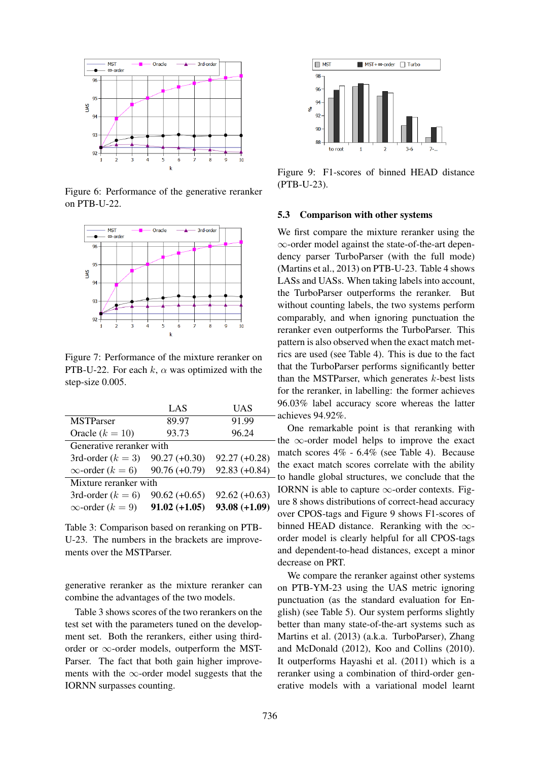

Figure 6: Performance of the generative reranker on PTB-U-22.



Figure 7: Performance of the mixture reranker on PTB-U-22. For each k,  $\alpha$  was optimized with the step-size 0.005.

|                             | LAS             | UAS             |  |  |
|-----------------------------|-----------------|-----------------|--|--|
| <b>MSTParser</b>            | 89.97           | 91.99           |  |  |
| Oracle $(k = 10)$           | 93.73           | 96.24           |  |  |
| Generative reranker with    |                 |                 |  |  |
| 3rd-order $(k = 3)$         | $90.27 (+0.30)$ | $92.27 (+0.28)$ |  |  |
| $\infty$ -order ( $k = 6$ ) | $90.76 (+0.79)$ | $92.83(+0.84)$  |  |  |
| Mixture reranker with       |                 |                 |  |  |
| 3rd-order $(k = 6)$         | $90.62 (+0.65)$ | $92.62 (+0.63)$ |  |  |
| $\infty$ -order ( $k = 9$ ) | $91.02 (+1.05)$ | $93.08 (+1.09)$ |  |  |

Table 3: Comparison based on reranking on PTB-U-23. The numbers in the brackets are improvements over the MSTParser.

generative reranker as the mixture reranker can combine the advantages of the two models.

Table 3 shows scores of the two rerankers on the test set with the parameters tuned on the development set. Both the rerankers, either using thirdorder or  $\infty$ -order models, outperform the MST-Parser. The fact that both gain higher improvements with the  $\infty$ -order model suggests that the IORNN surpasses counting.



Figure 9: F1-scores of binned HEAD distance (PTB-U-23).

#### 5.3 Comparison with other systems

We first compare the mixture reranker using the ∞-order model against the state-of-the-art dependency parser TurboParser (with the full mode) (Martins et al., 2013) on PTB-U-23. Table 4 shows LASs and UASs. When taking labels into account, the TurboParser outperforms the reranker. But without counting labels, the two systems perform comparably, and when ignoring punctuation the reranker even outperforms the TurboParser. This pattern is also observed when the exact match metrics are used (see Table 4). This is due to the fact that the TurboParser performs significantly better than the MSTParser, which generates  $k$ -best lists for the reranker, in labelling: the former achieves 96.03% label accuracy score whereas the latter achieves 94.92%.

One remarkable point is that reranking with the  $\infty$ -order model helps to improve the exact match scores 4% - 6.4% (see Table 4). Because the exact match scores correlate with the ability - to handle global structures, we conclude that the IORNN is able to capture  $\infty$ -order contexts. Figure 8 shows distributions of correct-head accuracy over CPOS-tags and Figure 9 shows F1-scores of binned HEAD distance. Reranking with the  $\infty$ order model is clearly helpful for all CPOS-tags and dependent-to-head distances, except a minor decrease on PRT.

We compare the reranker against other systems on PTB-YM-23 using the UAS metric ignoring punctuation (as the standard evaluation for English) (see Table 5). Our system performs slightly better than many state-of-the-art systems such as Martins et al. (2013) (a.k.a. TurboParser), Zhang and McDonald (2012), Koo and Collins (2010). It outperforms Hayashi et al. (2011) which is a reranker using a combination of third-order generative models with a variational model learnt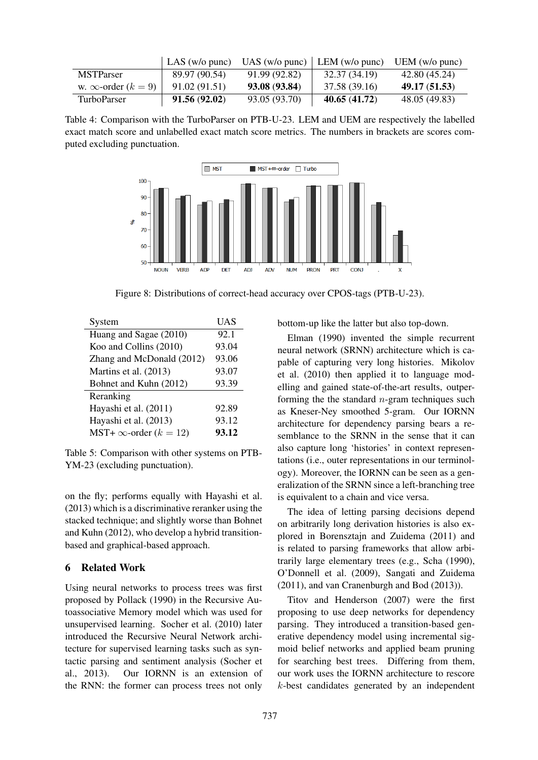|                                | LAS (w/o punc) | $UAS$ (w/o punc) | LEM $(w/o\text{ punc})$ | UEM $(w/o$ punc) |
|--------------------------------|----------------|------------------|-------------------------|------------------|
| <b>MSTParser</b>               | 89.97 (90.54)  | 91.99 (92.82)    | 32.37 (34.19)           | 42.80 (45.24)    |
| w. $\infty$ -order ( $k = 9$ ) | 91.02 (91.51)  | 93.08 (93.84)    | 37.58 (39.16)           | 49.17(51.53)     |
| <b>TurboParser</b>             | 91.56(92.02)   | 93.05 (93.70)    | 40.65(41.72)            | 48.05 (49.83)    |

Table 4: Comparison with the TurboParser on PTB-U-23. LEM and UEM are respectively the labelled exact match score and unlabelled exact match score metrics. The numbers in brackets are scores computed excluding punctuation.



Figure 8: Distributions of correct-head accuracy over CPOS-tags (PTB-U-23).

| System                            | UAS   |
|-----------------------------------|-------|
| Huang and Sagae (2010)            | 92.1  |
| Koo and Collins (2010)            | 93.04 |
| Zhang and McDonald (2012)         | 93.06 |
| Martins et al. (2013)             | 93.07 |
| Bohnet and Kuhn (2012)            | 93.39 |
| Reranking                         |       |
| Hayashi et al. (2011)             | 92.89 |
| Hayashi et al. (2013)             | 93.12 |
| MST+ $\infty$ -order ( $k = 12$ ) | 93.12 |

Table 5: Comparison with other systems on PTB-YM-23 (excluding punctuation).

on the fly; performs equally with Hayashi et al. (2013) which is a discriminative reranker using the stacked technique; and slightly worse than Bohnet and Kuhn (2012), who develop a hybrid transitionbased and graphical-based approach.

# 6 Related Work

Using neural networks to process trees was first proposed by Pollack (1990) in the Recursive Autoassociative Memory model which was used for unsupervised learning. Socher et al. (2010) later introduced the Recursive Neural Network architecture for supervised learning tasks such as syntactic parsing and sentiment analysis (Socher et al., 2013). Our IORNN is an extension of the RNN: the former can process trees not only

bottom-up like the latter but also top-down.

Elman (1990) invented the simple recurrent neural network (SRNN) architecture which is capable of capturing very long histories. Mikolov et al. (2010) then applied it to language modelling and gained state-of-the-art results, outperforming the the standard  $n$ -gram techniques such as Kneser-Ney smoothed 5-gram. Our IORNN architecture for dependency parsing bears a resemblance to the SRNN in the sense that it can also capture long 'histories' in context representations (i.e., outer representations in our terminology). Moreover, the IORNN can be seen as a generalization of the SRNN since a left-branching tree is equivalent to a chain and vice versa.

The idea of letting parsing decisions depend on arbitrarily long derivation histories is also explored in Borensztajn and Zuidema (2011) and is related to parsing frameworks that allow arbitrarily large elementary trees (e.g., Scha (1990), O'Donnell et al. (2009), Sangati and Zuidema (2011), and van Cranenburgh and Bod (2013)).

Titov and Henderson (2007) were the first proposing to use deep networks for dependency parsing. They introduced a transition-based generative dependency model using incremental sigmoid belief networks and applied beam pruning for searching best trees. Differing from them, our work uses the IORNN architecture to rescore k-best candidates generated by an independent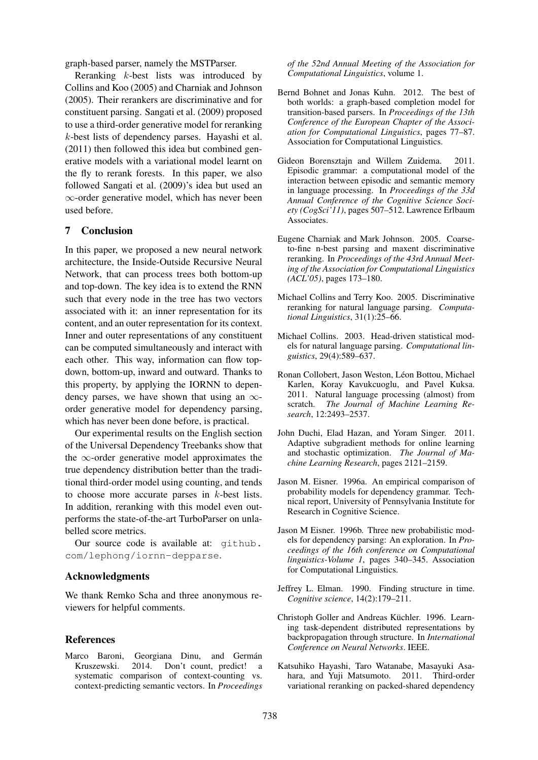graph-based parser, namely the MSTParser.

Reranking k-best lists was introduced by Collins and Koo (2005) and Charniak and Johnson (2005). Their rerankers are discriminative and for constituent parsing. Sangati et al. (2009) proposed to use a third-order generative model for reranking k-best lists of dependency parses. Hayashi et al. (2011) then followed this idea but combined generative models with a variational model learnt on the fly to rerank forests. In this paper, we also followed Sangati et al. (2009)'s idea but used an ∞-order generative model, which has never been used before.

# 7 Conclusion

In this paper, we proposed a new neural network architecture, the Inside-Outside Recursive Neural Network, that can process trees both bottom-up and top-down. The key idea is to extend the RNN such that every node in the tree has two vectors associated with it: an inner representation for its content, and an outer representation for its context. Inner and outer representations of any constituent can be computed simultaneously and interact with each other. This way, information can flow topdown, bottom-up, inward and outward. Thanks to this property, by applying the IORNN to dependency parses, we have shown that using an  $\infty$ order generative model for dependency parsing, which has never been done before, is practical.

Our experimental results on the English section of the Universal Dependency Treebanks show that the  $\infty$ -order generative model approximates the true dependency distribution better than the traditional third-order model using counting, and tends to choose more accurate parses in k-best lists. In addition, reranking with this model even outperforms the state-of-the-art TurboParser on unlabelled score metrics.

Our source code is available at: github. com/lephong/iornn-depparse.

# Acknowledgments

We thank Remko Scha and three anonymous reviewers for helpful comments.

#### References

Marco Baroni, Georgiana Dinu, and Germán<br>Kruszewski. 2014. Don't count, predict! a Kruszewski. 2014. Don't count, predict! a systematic comparison of context-counting vs. context-predicting semantic vectors. In *Proceedings* *of the 52nd Annual Meeting of the Association for Computational Linguistics*, volume 1.

- Bernd Bohnet and Jonas Kuhn. 2012. The best of both worlds: a graph-based completion model for transition-based parsers. In *Proceedings of the 13th Conference of the European Chapter of the Association for Computational Linguistics*, pages 77–87. Association for Computational Linguistics.
- Gideon Borensztajn and Willem Zuidema. 2011. Episodic grammar: a computational model of the interaction between episodic and semantic memory in language processing. In *Proceedings of the 33d Annual Conference of the Cognitive Science Society (CogSci'11)*, pages 507–512. Lawrence Erlbaum Associates.
- Eugene Charniak and Mark Johnson. 2005. Coarseto-fine n-best parsing and maxent discriminative reranking. In *Proceedings of the 43rd Annual Meeting of the Association for Computational Linguistics (ACL'05)*, pages 173–180.
- Michael Collins and Terry Koo. 2005. Discriminative reranking for natural language parsing. *Computational Linguistics*, 31(1):25–66.
- Michael Collins. 2003. Head-driven statistical models for natural language parsing. *Computational linguistics*, 29(4):589–637.
- Ronan Collobert, Jason Weston, Léon Bottou, Michael Karlen, Koray Kavukcuoglu, and Pavel Kuksa. 2011. Natural language processing (almost) from scratch. *The Journal of Machine Learning Research*, 12:2493–2537.
- John Duchi, Elad Hazan, and Yoram Singer. 2011. Adaptive subgradient methods for online learning and stochastic optimization. *The Journal of Machine Learning Research*, pages 2121–2159.
- Jason M. Eisner. 1996a. An empirical comparison of probability models for dependency grammar. Technical report, University of Pennsylvania Institute for Research in Cognitive Science.
- Jason M Eisner. 1996b. Three new probabilistic models for dependency parsing: An exploration. In *Proceedings of the 16th conference on Computational linguistics-Volume 1*, pages 340–345. Association for Computational Linguistics.
- Jeffrey L. Elman. 1990. Finding structure in time. *Cognitive science*, 14(2):179–211.
- Christoph Goller and Andreas Küchler. 1996. Learning task-dependent distributed representations by backpropagation through structure. In *International Conference on Neural Networks*. IEEE.
- Katsuhiko Hayashi, Taro Watanabe, Masayuki Asahara, and Yuji Matsumoto. 2011. Third-order variational reranking on packed-shared dependency